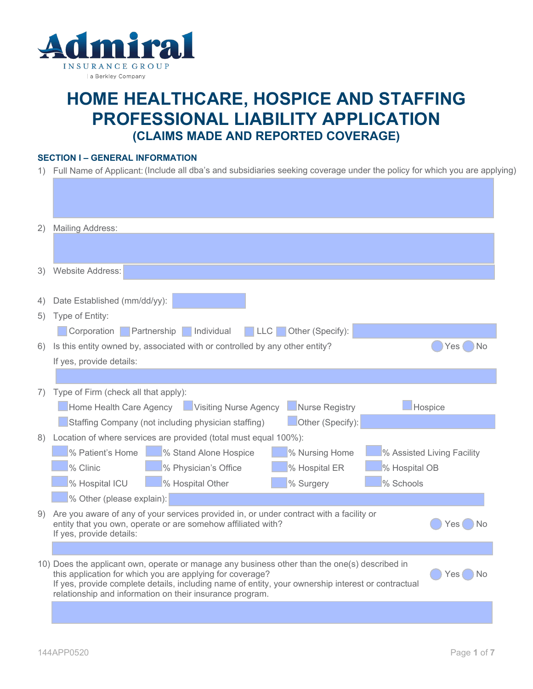

# **HOME HEALTHCARE, HOSPICE AND STAFFING PROFESSIONAL LIABILITY APPLICATION (CLAIMS MADE AND REPORTED COVERAGE)**

## **SECTION I – GENERAL INFORMATION**

1) Full Name of Applicant:(Include all dba's and subsidiaries seeking coverage under the policy for which you are applying)

| 2) | <b>Mailing Address:</b>                                                                                                                                                                                                                                                                                                                    |
|----|--------------------------------------------------------------------------------------------------------------------------------------------------------------------------------------------------------------------------------------------------------------------------------------------------------------------------------------------|
|    |                                                                                                                                                                                                                                                                                                                                            |
| 3) | Website Address:                                                                                                                                                                                                                                                                                                                           |
|    |                                                                                                                                                                                                                                                                                                                                            |
| 4) | Date Established (mm/dd/yy):                                                                                                                                                                                                                                                                                                               |
| 5) | Type of Entity:                                                                                                                                                                                                                                                                                                                            |
|    | Individual<br>Corporation Partnership<br>Other (Specify):<br>LLC.                                                                                                                                                                                                                                                                          |
| 6) | Is this entity owned by, associated with or controlled by any other entity?<br>Yes<br>Nο                                                                                                                                                                                                                                                   |
|    | If yes, provide details:                                                                                                                                                                                                                                                                                                                   |
|    |                                                                                                                                                                                                                                                                                                                                            |
| 7) | Type of Firm (check all that apply):                                                                                                                                                                                                                                                                                                       |
|    | Home Health Care Agency Visiting Nurse Agency<br>Nurse Registry<br>Hospice                                                                                                                                                                                                                                                                 |
|    | Other (Specify):<br>Staffing Company (not including physician staffing)                                                                                                                                                                                                                                                                    |
| 8) | Location of where services are provided (total must equal 100%):                                                                                                                                                                                                                                                                           |
|    | % Patient's Home<br>% Stand Alone Hospice<br>% Nursing Home<br>% Assisted Living Facility                                                                                                                                                                                                                                                  |
|    | % Clinic<br>% Hospital ER<br>% Hospital OB<br>% Physician's Office                                                                                                                                                                                                                                                                         |
|    | % Surgery<br>% Schools<br>% Hospital ICU<br>% Hospital Other                                                                                                                                                                                                                                                                               |
|    | % Other (please explain):                                                                                                                                                                                                                                                                                                                  |
| 9) | Are you aware of any of your services provided in, or under contract with a facility or<br>entity that you own, operate or are somehow affiliated with?<br>Yes<br>Nο<br>If yes, provide details:                                                                                                                                           |
|    |                                                                                                                                                                                                                                                                                                                                            |
|    | 10) Does the applicant own, operate or manage any business other than the one(s) described in<br>this application for which you are applying for coverage?<br>Yes.<br>Nο<br>If yes, provide complete details, including name of entity, your ownership interest or contractual<br>relationship and information on their insurance program. |
|    |                                                                                                                                                                                                                                                                                                                                            |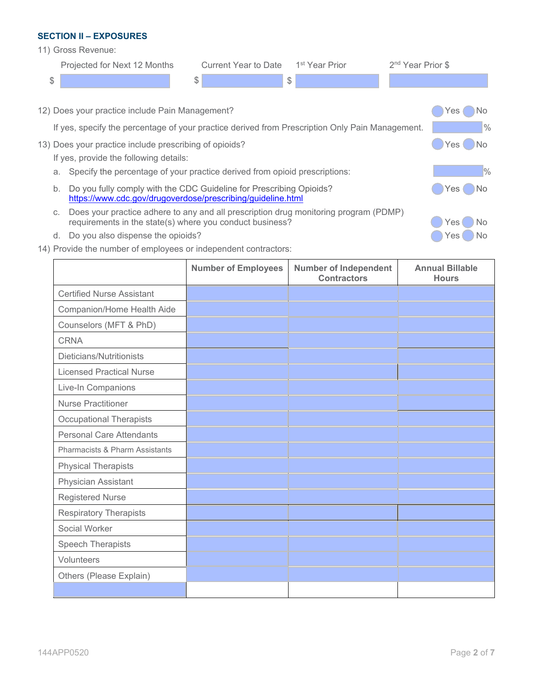#### **SECTION II – EXPOSURES**

11) Gross Revenue:

|    | Projected for Next 12 Months                                                                    | <b>Current Year to Date</b> | 1 <sup>st</sup> Year Prior | 2 <sup>nd</sup> Year Prior \$ |
|----|-------------------------------------------------------------------------------------------------|-----------------------------|----------------------------|-------------------------------|
| \$ |                                                                                                 | \$                          | \$                         |                               |
|    |                                                                                                 |                             |                            |                               |
|    | 12) Does your practice include Pain Management?                                                 |                             |                            | □ No<br>Yes (                 |
|    | If yes, specify the percentage of your practice derived from Prescription Only Pain Management. |                             |                            | $\frac{0}{0}$                 |
|    | 13) Does your practice include prescribing of opioids?                                          |                             |                            | $\Box$ Yes (<br>$\bigcirc$ No |
|    | If yes, provide the following details:                                                          |                             |                            |                               |
|    | Specify the percentage of your practice derived from opioid prescriptions:<br>a.                |                             |                            | $\frac{10}{6}$                |
| b. | Do you fully comply with the CDC Guideline for Prescribing Opioids?                             |                             |                            | No.<br><b>Yes</b>             |

<https://www.cdc.gov/drugoverdose/prescribing/guideline.html>

- c. Does your practice adhere to any and all prescription drug monitoring program (PDMP) requirements in the state(s) where you conduct business?
- d. Do you also dispense the opioids? We also see the opioids?
- 14) Provide the number of employees or independent contractors:

|                                  | <b>Number of Employees</b> | <b>Number of Independent</b><br><b>Contractors</b> | <b>Annual Billable</b><br><b>Hours</b> |
|----------------------------------|----------------------------|----------------------------------------------------|----------------------------------------|
| <b>Certified Nurse Assistant</b> |                            |                                                    |                                        |
| Companion/Home Health Aide       |                            |                                                    |                                        |
| Counselors (MFT & PhD)           |                            |                                                    |                                        |
| <b>CRNA</b>                      |                            |                                                    |                                        |
| Dieticians/Nutritionists         |                            |                                                    |                                        |
| <b>Licensed Practical Nurse</b>  |                            |                                                    |                                        |
| Live-In Companions               |                            |                                                    |                                        |
| <b>Nurse Practitioner</b>        |                            |                                                    |                                        |
| <b>Occupational Therapists</b>   |                            |                                                    |                                        |
| <b>Personal Care Attendants</b>  |                            |                                                    |                                        |
| Pharmacists & Pharm Assistants   |                            |                                                    |                                        |
| <b>Physical Therapists</b>       |                            |                                                    |                                        |
| Physician Assistant              |                            |                                                    |                                        |
| <b>Registered Nurse</b>          |                            |                                                    |                                        |
| <b>Respiratory Therapists</b>    |                            |                                                    |                                        |
| Social Worker                    |                            |                                                    |                                        |
| <b>Speech Therapists</b>         |                            |                                                    |                                        |
| Volunteers                       |                            |                                                    |                                        |
| Others (Please Explain)          |                            |                                                    |                                        |
|                                  |                            |                                                    |                                        |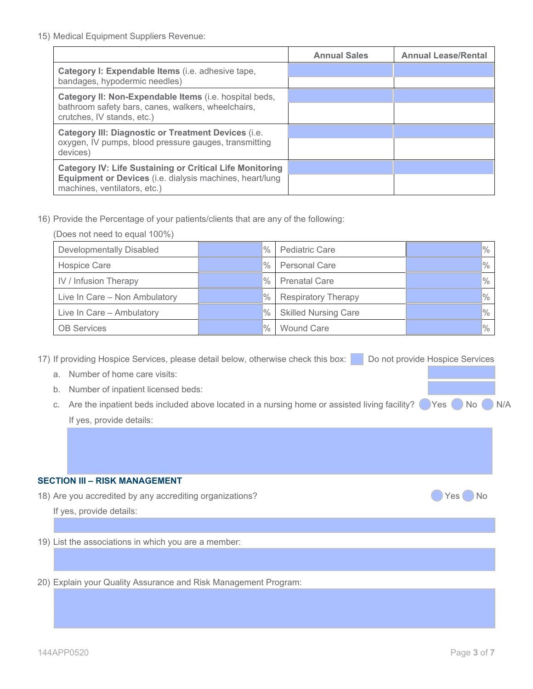|                                                                                                                                                             | <b>Annual Sales</b> | <b>Annual Lease/Rental</b> |
|-------------------------------------------------------------------------------------------------------------------------------------------------------------|---------------------|----------------------------|
| Category I: Expendable Items (i.e. adhesive tape,<br>bandages, hypodermic needles)                                                                          |                     |                            |
| Category II: Non-Expendable Items (i.e. hospital beds,<br>bathroom safety bars, canes, walkers, wheelchairs,<br>crutches, IV stands, etc.)                  |                     |                            |
| <b>Category III: Diagnostic or Treatment Devices (i.e.</b><br>oxygen, IV pumps, blood pressure gauges, transmitting<br>devices)                             |                     |                            |
| <b>Category IV: Life Sustaining or Critical Life Monitoring</b><br>Equipment or Devices (i.e. dialysis machines, heart/lung<br>machines, ventilators, etc.) |                     |                            |

16) Provide the Percentage of your patients/clients that are any of the following:

| (Does not need to equal 100%)   |  |               |                             |                |
|---------------------------------|--|---------------|-----------------------------|----------------|
| <b>Developmentally Disabled</b> |  | $\%$          | <b>Pediatric Care</b>       | $\%$           |
| <b>Hospice Care</b>             |  | $\frac{0}{0}$ | <b>Personal Care</b>        | $\frac{1}{2}$  |
| IV / Infusion Therapy           |  | $\%$          | <b>Prenatal Care</b>        | $\%$           |
| Live In Care - Non Ambulatory   |  | $\%$          | <b>Respiratory Therapy</b>  | $\frac{9}{6}$  |
| Live In Care - Ambulatory       |  | $\frac{0}{0}$ | <b>Skilled Nursing Care</b> | $\frac{1}{2}$  |
| <b>OB Services</b>              |  | $\frac{0}{0}$ | <b>Wound Care</b>           | $\frac{10}{6}$ |

17) If providing Hospice Services, please detail below, otherwise check this box: Do not provide Hospice Services

- a. Number of home care visits:
- b. Number of inpatient licensed beds:
- c. Are the inpatient beds included above located in a nursing home or assisted living facility?  $\bigcirc$  Yes  $\bigcirc$  No  $\bigcirc$  N/A If yes, provide details:

### **SECTION III – RISK MANAGEMENT**

18) Are you accredited by any accrediting organizations? **Washing the United States and States and States and States and States and States and States and No. 1899.** No

If yes, provide details:

19) List the associations in which you are a member:

20) Explain your Quality Assurance and Risk Management Program: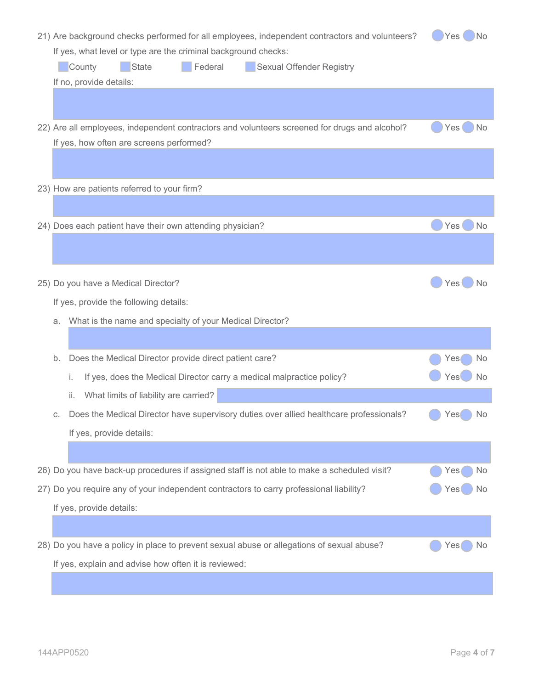| Yes No<br>21) Are background checks performed for all employees, independent contractors and volunteers? |                                                                                               |                        |  |
|----------------------------------------------------------------------------------------------------------|-----------------------------------------------------------------------------------------------|------------------------|--|
| If yes, what level or type are the criminal background checks:                                           |                                                                                               |                        |  |
|                                                                                                          | Federal<br>County<br><b>Sexual Offender Registry</b><br>State                                 |                        |  |
|                                                                                                          | If no, provide details:                                                                       |                        |  |
|                                                                                                          |                                                                                               |                        |  |
|                                                                                                          | 22) Are all employees, independent contractors and volunteers screened for drugs and alcohol? | No<br>Yes(             |  |
|                                                                                                          | If yes, how often are screens performed?                                                      |                        |  |
|                                                                                                          |                                                                                               |                        |  |
|                                                                                                          |                                                                                               |                        |  |
|                                                                                                          | 23) How are patients referred to your firm?                                                   |                        |  |
|                                                                                                          |                                                                                               |                        |  |
|                                                                                                          | 24) Does each patient have their own attending physician?                                     | Yes<br>) No            |  |
|                                                                                                          |                                                                                               |                        |  |
|                                                                                                          |                                                                                               |                        |  |
|                                                                                                          | 25) Do you have a Medical Director?                                                           | Yes<br><b>No</b>       |  |
|                                                                                                          |                                                                                               |                        |  |
|                                                                                                          | If yes, provide the following details:                                                        |                        |  |
|                                                                                                          |                                                                                               |                        |  |
| a.                                                                                                       | What is the name and specialty of your Medical Director?                                      |                        |  |
|                                                                                                          |                                                                                               |                        |  |
| b.                                                                                                       | Does the Medical Director provide direct patient care?                                        | No<br>Yes              |  |
|                                                                                                          | If yes, does the Medical Director carry a medical malpractice policy?<br>i.                   | Yes <sup>(</sup><br>No |  |
|                                                                                                          | What limits of liability are carried?<br>ii.                                                  |                        |  |
| С.                                                                                                       | Does the Medical Director have supervisory duties over allied healthcare professionals?       | Yes<br>No              |  |
|                                                                                                          | If yes, provide details:                                                                      |                        |  |
|                                                                                                          |                                                                                               |                        |  |
|                                                                                                          |                                                                                               |                        |  |
|                                                                                                          | 26) Do you have back-up procedures if assigned staff is not able to make a scheduled visit?   | Yes<br>No              |  |
|                                                                                                          | 27) Do you require any of your independent contractors to carry professional liability?       | No<br>Yes              |  |
|                                                                                                          | If yes, provide details:                                                                      |                        |  |
|                                                                                                          |                                                                                               |                        |  |
|                                                                                                          | 28) Do you have a policy in place to prevent sexual abuse or allegations of sexual abuse?     | No<br>Yes              |  |
|                                                                                                          | If yes, explain and advise how often it is reviewed:                                          |                        |  |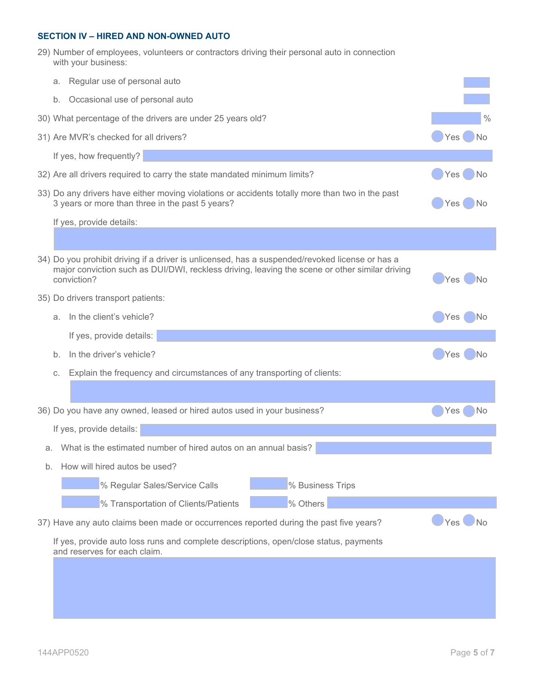### **SECTION IV – HIRED AND NON-OWNED AUTO**

29) Number of employees, volunteers or contractors driving their personal auto in connection with your business:

|    | а.                                                         | Regular use of personal auto                                                                                                                                                                                     |                    |  |  |
|----|------------------------------------------------------------|------------------------------------------------------------------------------------------------------------------------------------------------------------------------------------------------------------------|--------------------|--|--|
|    | b.                                                         |                                                                                                                                                                                                                  |                    |  |  |
|    | Occasional use of personal auto                            |                                                                                                                                                                                                                  |                    |  |  |
|    | 30) What percentage of the drivers are under 25 years old? |                                                                                                                                                                                                                  |                    |  |  |
|    |                                                            | 31) Are MVR's checked for all drivers?                                                                                                                                                                           | Yes (<br><b>No</b> |  |  |
|    |                                                            | If yes, how frequently?                                                                                                                                                                                          |                    |  |  |
|    |                                                            | 32) Are all drivers required to carry the state mandated minimum limits?                                                                                                                                         | Yes<br>No          |  |  |
|    |                                                            | 33) Do any drivers have either moving violations or accidents totally more than two in the past<br>3 years or more than three in the past 5 years?                                                               | Yes<br>No.         |  |  |
|    |                                                            | If yes, provide details:                                                                                                                                                                                         |                    |  |  |
|    |                                                            |                                                                                                                                                                                                                  |                    |  |  |
|    |                                                            | 34) Do you prohibit driving if a driver is unlicensed, has a suspended/revoked license or has a<br>major conviction such as DUI/DWI, reckless driving, leaving the scene or other similar driving<br>conviction? | Yes.<br>Nο         |  |  |
|    |                                                            | 35) Do drivers transport patients:                                                                                                                                                                               |                    |  |  |
|    | a.                                                         | In the client's vehicle?                                                                                                                                                                                         | Yes<br>۱No         |  |  |
|    |                                                            | If yes, provide details:                                                                                                                                                                                         |                    |  |  |
|    | b.                                                         | In the driver's vehicle?                                                                                                                                                                                         | Yes<br>No          |  |  |
|    | C.                                                         | Explain the frequency and circumstances of any transporting of clients:                                                                                                                                          |                    |  |  |
|    |                                                            |                                                                                                                                                                                                                  |                    |  |  |
|    |                                                            | 36) Do you have any owned, leased or hired autos used in your business?                                                                                                                                          | Yes<br>Νo          |  |  |
|    |                                                            | If yes, provide details:                                                                                                                                                                                         |                    |  |  |
| a. |                                                            | What is the estimated number of hired autos on an annual basis?                                                                                                                                                  |                    |  |  |
| b. |                                                            | How will hired autos be used?                                                                                                                                                                                    |                    |  |  |
|    |                                                            | % Business Trips<br>% Regular Sales/Service Calls                                                                                                                                                                |                    |  |  |
|    |                                                            |                                                                                                                                                                                                                  |                    |  |  |
|    |                                                            | % Others<br>% Transportation of Clients/Patients                                                                                                                                                                 |                    |  |  |
|    |                                                            | 37) Have any auto claims been made or occurrences reported during the past five years?                                                                                                                           | Yes<br>$\n  NO\n$  |  |  |
|    |                                                            | If yes, provide auto loss runs and complete descriptions, open/close status, payments<br>and reserves for each claim.                                                                                            |                    |  |  |
|    |                                                            |                                                                                                                                                                                                                  |                    |  |  |
|    |                                                            |                                                                                                                                                                                                                  |                    |  |  |
|    |                                                            |                                                                                                                                                                                                                  |                    |  |  |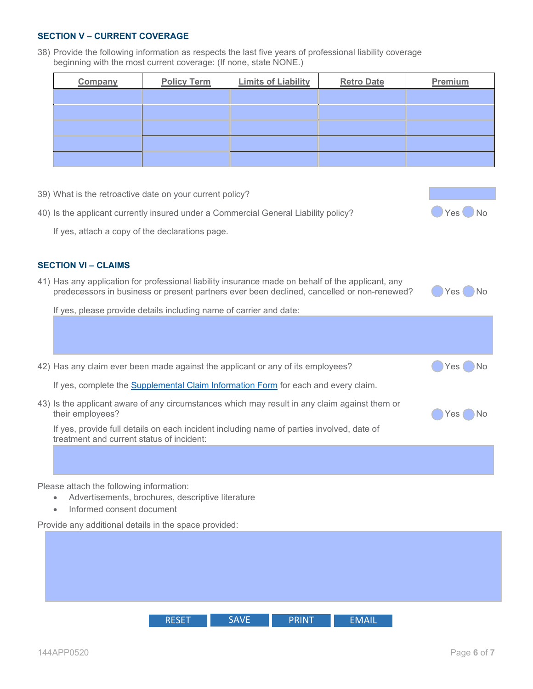## **SECTION V – CURRENT COVERAGE**

38) Provide the following information as respects the last five years of professional liability coverage beginning with the most current coverage: (If none, state NONE.)

| Company | <b>Policy Term</b> | <b>Limits of Liability</b> | <b>Retro Date</b> | Premium |
|---------|--------------------|----------------------------|-------------------|---------|
|         |                    |                            |                   |         |
|         |                    |                            |                   |         |
|         |                    |                            |                   |         |
|         |                    |                            |                   |         |
|         |                    |                            |                   |         |

| 39) What is the retroactive date on your current policy?                                                                                                                                        |                               |
|-------------------------------------------------------------------------------------------------------------------------------------------------------------------------------------------------|-------------------------------|
| 40) Is the applicant currently insured under a Commercial General Liability policy?                                                                                                             | Yes <sup>1</sup><br><b>No</b> |
| If yes, attach a copy of the declarations page.                                                                                                                                                 |                               |
|                                                                                                                                                                                                 |                               |
| <b>SECTION VI - CLAIMS</b>                                                                                                                                                                      |                               |
| 41) Has any application for professional liability insurance made on behalf of the applicant, any<br>predecessors in business or present partners ever been declined, cancelled or non-renewed? | ) No<br>Yes (                 |
| If yes, please provide details including name of carrier and date:                                                                                                                              |                               |
|                                                                                                                                                                                                 |                               |
| 42) Has any claim ever been made against the applicant or any of its employees?                                                                                                                 | Yes.<br>) No                  |
| If yes, complete the Supplemental Claim Information Form for each and every claim.                                                                                                              |                               |
| 43) Is the applicant aware of any circumstances which may result in any claim against them or<br>their employees?                                                                               | .No<br>Yes                    |
| If yes, provide full details on each incident including name of parties involved, date of<br>treatment and current status of incident:                                                          |                               |
|                                                                                                                                                                                                 |                               |
| Please attach the following information:                                                                                                                                                        |                               |
| Advertisements, brochures, descriptive literature                                                                                                                                               |                               |
| Informed consent document<br>$\bullet$                                                                                                                                                          |                               |

RESET SAVE PRINT EMAIL

Provide any additional details in the space provided: